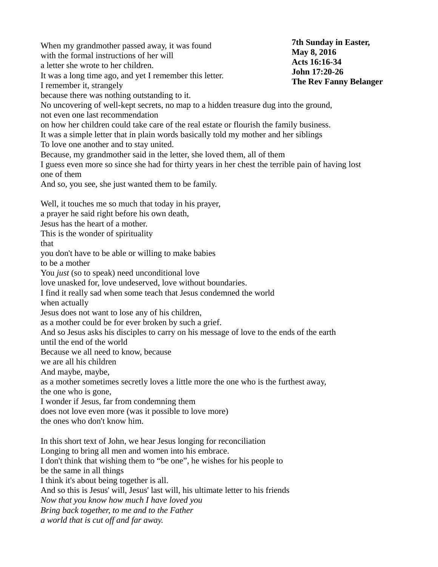When my grandmother passed away, it was found with the formal instructions of her will a letter she wrote to her children. It was a long time ago, and yet I remember this letter. I remember it, strangely because there was nothing outstanding to it. No uncovering of well-kept secrets, no map to a hidden treasure dug into the ground, not even one last recommendation on how her children could take care of the real estate or flourish the family business. It was a simple letter that in plain words basically told my mother and her siblings To love one another and to stay united. Because, my grandmother said in the letter, she loved them, all of them I guess even more so since she had for thirty years in her chest the terrible pain of having lost one of them And so, you see, she just wanted them to be family. Well, it touches me so much that today in his prayer, a prayer he said right before his own death, Jesus has the heart of a mother. This is the wonder of spirituality that you don't have to be able or willing to make babies to be a mother You *just* (so to speak) need unconditional love love unasked for, love undeserved, love without boundaries. I find it really sad when some teach that Jesus condemned the world when actually Jesus does not want to lose any of his children, as a mother could be for ever broken by such a grief. And so Jesus asks his disciples to carry on his message of love to the ends of the earth until the end of the world Because we all need to know, because we are all his children And maybe, maybe, as a mother sometimes secretly loves a little more the one who is the furthest away, the one who is gone, I wonder if Jesus, far from condemning them does not love even more (was it possible to love more) the ones who don't know him. In this short text of John, we hear Jesus longing for reconciliation Longing to bring all men and women into his embrace. I don't think that wishing them to "be one", he wishes for his people to be the same in all things I think it's about being together is all. And so this is Jesus' will, Jesus' last will, his ultimate letter to his friends *Now that you know how much I have loved you Bring back together, to me and to the Father a world that is cut off and far away.* **7th Sunday in Easter, May 8, 2016 Acts 16:16-34 John 17:20-26 The Rev Fanny Belanger**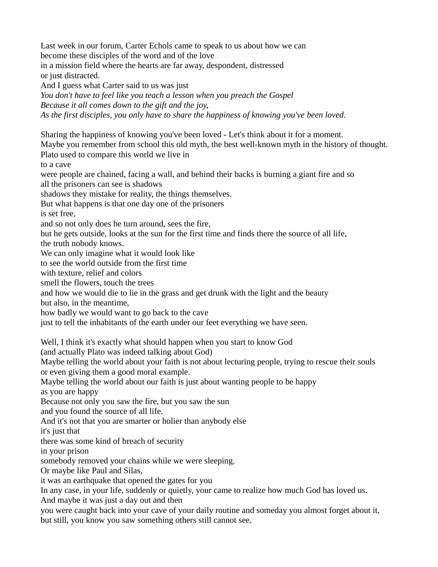Last week in our forum, Carter Echols came to speak to us about how we can become these disciples of the word and of the love in a mission field where the hearts are far away, despondent, distressed or just distracted. And I guess what Carter said to us was just *You don't have to feel like you teach a lesson when you preach the Gospel Because it all comes down to the gift and the joy,*

*As the first disciples, you only have to share the happiness of knowing you've been loved.*

Sharing the happiness of knowing you've been loved - Let's think about it for a moment.

Maybe you remember from school this old myth, the best well-known myth in the history of thought. Plato used to compare this world we live in

to a cave

were people are chained, facing a wall, and behind their backs is burning a giant fire and so all the prisoners can see is shadows

shadows they mistake for reality, the things themselves.

But what happens is that one day one of the prisoners

is set free,

and so not only does he turn around, sees the fire,

but he gets outside, looks at the sun for the first time and finds there the source of all life,

the truth nobody knows.

We can only imagine what it would look like

to see the world outside from the first time

with texture, relief and colors

smell the flowers, touch the trees

and how we would die to lie in the grass and get drunk with the light and the beauty

but also, in the meantime,

how badly we would want to go back to the cave

just to tell the inhabitants of the earth under our feet everything we have seen.

Well, I think it's exactly what should happen when you start to know God

(and actually Plato was indeed talking about God)

Maybe telling the world about your faith is not about lecturing people, trying to rescue their souls or even giving them a good moral example.

Maybe telling the world about our faith is just about wanting people to be happy

as you are happy

Because not only you saw the fire, but you saw the sun

and you found the source of all life.

And it's not that you are smarter or holier than anybody else

it's just that

there was some kind of breach of security

in your prison

somebody removed your chains while we were sleeping.

Or maybe like Paul and Silas,

it was an earthquake that opened the gates for you

In any case, in your life, suddenly or quietly, your came to realize how much God has loved us.

And maybe it was just a day out and then

you were caught back into your cave of your daily routine and someday you almost forget about it, but still, you know you saw something others still cannot see.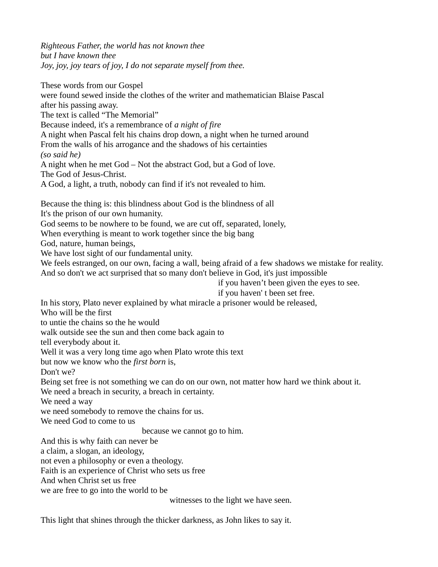*Righteous Father, the world has not known thee but I have known thee Joy, joy, joy tears of joy, I do not separate myself from thee.*

These words from our Gospel were found sewed inside the clothes of the writer and mathematician Blaise Pascal after his passing away. The text is called "The Memorial" Because indeed, it's a remembrance of *a night of fire* A night when Pascal felt his chains drop down, a night when he turned around From the walls of his arrogance and the shadows of his certainties *(so said he)* A night when he met God – Not the abstract God, but a God of love. The God of Jesus-Christ. A God, a light, a truth, nobody can find if it's not revealed to him. Because the thing is: this blindness about God is the blindness of all It's the prison of our own humanity. God seems to be nowhere to be found, we are cut off, separated, lonely, When everything is meant to work together since the big bang God, nature, human beings,

We have lost sight of our fundamental unity.

We feels estranged, on our own, facing a wall, being afraid of a few shadows we mistake for reality. And so don't we act surprised that so many don't believe in God, it's just impossible

if you haven't been given the eyes to see.

if you haven' t been set free.

In his story, Plato never explained by what miracle a prisoner would be released,

Who will be the first

to untie the chains so the he would

walk outside see the sun and then come back again to

tell everybody about it.

Well it was a very long time ago when Plato wrote this text

but now we know who the *first born* is,

Don't we?

Being set free is not something we can do on our own, not matter how hard we think about it.

We need a breach in security, a breach in certainty.

We need a way

we need somebody to remove the chains for us.

We need God to come to us

because we cannot go to him.

And this is why faith can never be

a claim, a slogan, an ideology,

not even a philosophy or even a theology.

Faith is an experience of Christ who sets us free

And when Christ set us free

we are free to go into the world to be

witnesses to the light we have seen.

This light that shines through the thicker darkness, as John likes to say it.